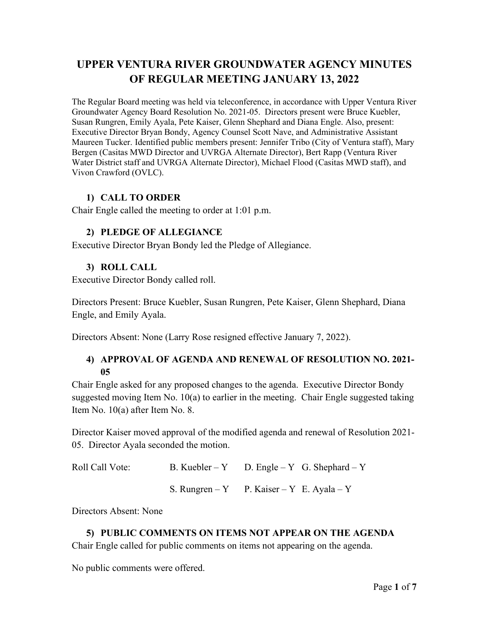# **UPPER VENTURA RIVER GROUNDWATER AGENCY MINUTES OF REGULAR MEETING JANUARY 13, 2022**

The Regular Board meeting was held via teleconference, in accordance with Upper Ventura River Groundwater Agency Board Resolution No. 2021-05. Directors present were Bruce Kuebler, Susan Rungren, Emily Ayala, Pete Kaiser, Glenn Shephard and Diana Engle. Also, present: Executive Director Bryan Bondy, Agency Counsel Scott Nave, and Administrative Assistant Maureen Tucker. Identified public members present: Jennifer Tribo (City of Ventura staff), Mary Bergen (Casitas MWD Director and UVRGA Alternate Director), Bert Rapp (Ventura River Water District staff and UVRGA Alternate Director), Michael Flood (Casitas MWD staff), and Vivon Crawford (OVLC).

## **1) CALL TO ORDER**

Chair Engle called the meeting to order at 1:01 p.m.

## **2) PLEDGE OF ALLEGIANCE**

Executive Director Bryan Bondy led the Pledge of Allegiance.

## **3) ROLL CALL**

Executive Director Bondy called roll.

Directors Present: Bruce Kuebler, Susan Rungren, Pete Kaiser, Glenn Shephard, Diana Engle, and Emily Ayala.

Directors Absent: None (Larry Rose resigned effective January 7, 2022).

## **4) APPROVAL OF AGENDA AND RENEWAL OF RESOLUTION NO. 2021- 05**

Chair Engle asked for any proposed changes to the agenda. Executive Director Bondy suggested moving Item No. 10(a) to earlier in the meeting. Chair Engle suggested taking Item No. 10(a) after Item No. 8.

Director Kaiser moved approval of the modified agenda and renewal of Resolution 2021- 05. Director Ayala seconded the motion.

```
Roll Call Vote: B. Kuebler – Y D. Engle – Y G. Shephard – Y
        S. Rungren – Y P. Kaiser – Y E. Ayala – Y
```
Directors Absent: None

#### **5) PUBLIC COMMENTS ON ITEMS NOT APPEAR ON THE AGENDA** Chair Engle called for public comments on items not appearing on the agenda.

No public comments were offered.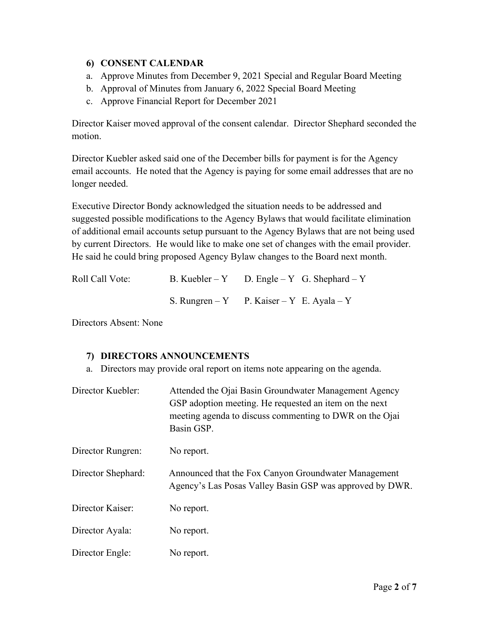## **6) CONSENT CALENDAR**

- a. Approve Minutes from December 9, 2021 Special and Regular Board Meeting
- b. Approval of Minutes from January 6, 2022 Special Board Meeting
- c. Approve Financial Report for December 2021

Director Kaiser moved approval of the consent calendar. Director Shephard seconded the motion.

Director Kuebler asked said one of the December bills for payment is for the Agency email accounts. He noted that the Agency is paying for some email addresses that are no longer needed.

Executive Director Bondy acknowledged the situation needs to be addressed and suggested possible modifications to the Agency Bylaws that would facilitate elimination of additional email accounts setup pursuant to the Agency Bylaws that are not being used by current Directors. He would like to make one set of changes with the email provider. He said he could bring proposed Agency Bylaw changes to the Board next month.

| Roll Call Vote: | B. Kuebler – Y D. Engle – Y G. Shephard – Y |
|-----------------|---------------------------------------------|
|                 | S. Rungren – Y P. Kaiser – Y E. Ayala – Y   |

Directors Absent: None

## **7) DIRECTORS ANNOUNCEMENTS**

a. Directors may provide oral report on items note appearing on the agenda.

| Director Kuebler:  | Attended the Ojai Basin Groundwater Management Agency<br>GSP adoption meeting. He requested an item on the next<br>meeting agenda to discuss commenting to DWR on the Ojai<br>Basin GSP. |
|--------------------|------------------------------------------------------------------------------------------------------------------------------------------------------------------------------------------|
| Director Rungren:  | No report.                                                                                                                                                                               |
| Director Shephard: | Announced that the Fox Canyon Groundwater Management<br>Agency's Las Posas Valley Basin GSP was approved by DWR.                                                                         |
| Director Kaiser:   | No report.                                                                                                                                                                               |
| Director Ayala:    | No report.                                                                                                                                                                               |
| Director Engle:    | No report.                                                                                                                                                                               |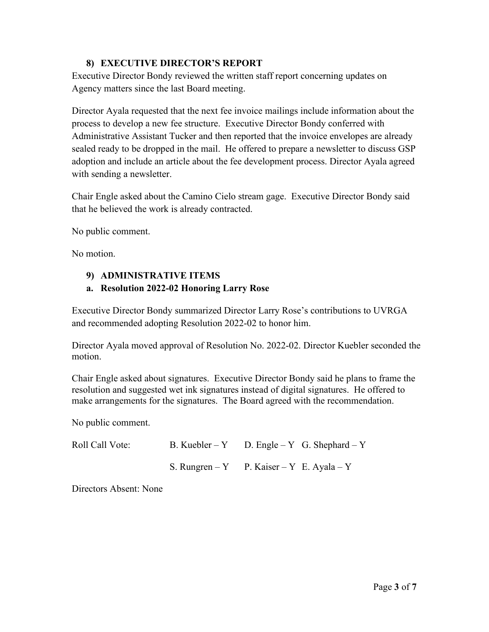#### **8) EXECUTIVE DIRECTOR'S REPORT**

Executive Director Bondy reviewed the written staff report concerning updates on Agency matters since the last Board meeting.

Director Ayala requested that the next fee invoice mailings include information about the process to develop a new fee structure. Executive Director Bondy conferred with Administrative Assistant Tucker and then reported that the invoice envelopes are already sealed ready to be dropped in the mail. He offered to prepare a newsletter to discuss GSP adoption and include an article about the fee development process. Director Ayala agreed with sending a newsletter.

Chair Engle asked about the Camino Cielo stream gage. Executive Director Bondy said that he believed the work is already contracted.

No public comment.

No motion.

## **9) ADMINISTRATIVE ITEMS**

## **a. Resolution 2022-02 Honoring Larry Rose**

Executive Director Bondy summarized Director Larry Rose's contributions to UVRGA and recommended adopting Resolution 2022-02 to honor him.

Director Ayala moved approval of Resolution No. 2022-02. Director Kuebler seconded the motion.

Chair Engle asked about signatures. Executive Director Bondy said he plans to frame the resolution and suggested wet ink signatures instead of digital signatures. He offered to make arrangements for the signatures. The Board agreed with the recommendation.

No public comment.

| Roll Call Vote: | B. Kuebler – Y D. Engle – Y G. Shephard – Y |
|-----------------|---------------------------------------------|
|                 | S. Rungren – Y P. Kaiser – Y E. Ayala – Y   |

Directors Absent: None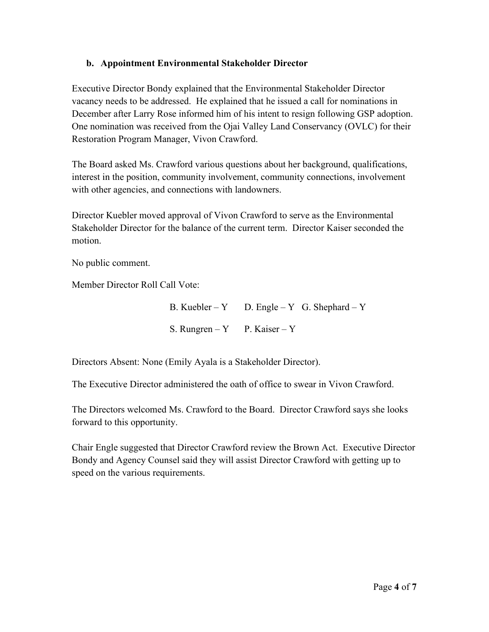## **b. Appointment Environmental Stakeholder Director**

Executive Director Bondy explained that the Environmental Stakeholder Director vacancy needs to be addressed. He explained that he issued a call for nominations in December after Larry Rose informed him of his intent to resign following GSP adoption. One nomination was received from the Ojai Valley Land Conservancy (OVLC) for their Restoration Program Manager, Vivon Crawford.

The Board asked Ms. Crawford various questions about her background, qualifications, interest in the position, community involvement, community connections, involvement with other agencies, and connections with landowners.

Director Kuebler moved approval of Vivon Crawford to serve as the Environmental Stakeholder Director for the balance of the current term. Director Kaiser seconded the motion.

No public comment.

Member Director Roll Call Vote:

B. Kuebler – Y D. Engle – Y G. Shephard – Y S. Rungren – Y P. Kaiser – Y

Directors Absent: None (Emily Ayala is a Stakeholder Director).

The Executive Director administered the oath of office to swear in Vivon Crawford.

The Directors welcomed Ms. Crawford to the Board. Director Crawford says she looks forward to this opportunity.

Chair Engle suggested that Director Crawford review the Brown Act. Executive Director Bondy and Agency Counsel said they will assist Director Crawford with getting up to speed on the various requirements.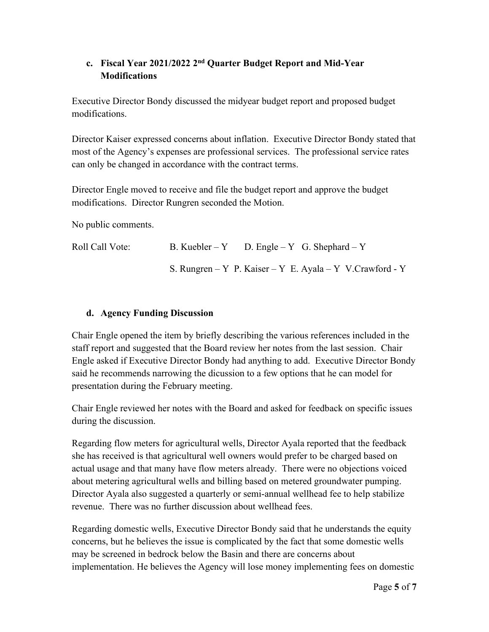# **c. Fiscal Year 2021/2022 2nd Quarter Budget Report and Mid-Year Modifications**

Executive Director Bondy discussed the midyear budget report and proposed budget modifications.

Director Kaiser expressed concerns about inflation. Executive Director Bondy stated that most of the Agency's expenses are professional services. The professional service rates can only be changed in accordance with the contract terms.

Director Engle moved to receive and file the budget report and approve the budget modifications. Director Rungren seconded the Motion.

No public comments.

| Roll Call Vote: | B. Kuebler – Y D. Engle – Y G. Shephard – Y               |  |  |
|-----------------|-----------------------------------------------------------|--|--|
|                 | S. Rungren – Y P. Kaiser – Y E. Ayala – Y V. Crawford - Y |  |  |

## **d. Agency Funding Discussion**

Chair Engle opened the item by briefly describing the various references included in the staff report and suggested that the Board review her notes from the last session. Chair Engle asked if Executive Director Bondy had anything to add. Executive Director Bondy said he recommends narrowing the dicussion to a few options that he can model for presentation during the February meeting.

Chair Engle reviewed her notes with the Board and asked for feedback on specific issues during the discussion.

Regarding flow meters for agricultural wells, Director Ayala reported that the feedback she has received is that agricultural well owners would prefer to be charged based on actual usage and that many have flow meters already. There were no objections voiced about metering agricultural wells and billing based on metered groundwater pumping. Director Ayala also suggested a quarterly or semi-annual wellhead fee to help stabilize revenue. There was no further discussion about wellhead fees.

Regarding domestic wells, Executive Director Bondy said that he understands the equity concerns, but he believes the issue is complicated by the fact that some domestic wells may be screened in bedrock below the Basin and there are concerns about implementation. He believes the Agency will lose money implementing fees on domestic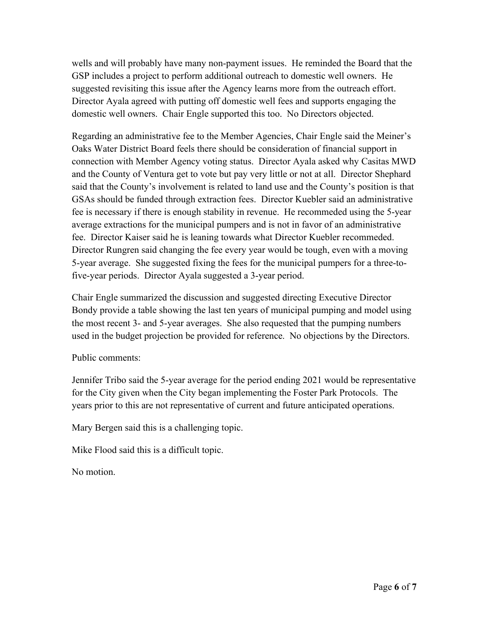wells and will probably have many non-payment issues. He reminded the Board that the GSP includes a project to perform additional outreach to domestic well owners. He suggested revisiting this issue after the Agency learns more from the outreach effort. Director Ayala agreed with putting off domestic well fees and supports engaging the domestic well owners. Chair Engle supported this too. No Directors objected.

Regarding an administrative fee to the Member Agencies, Chair Engle said the Meiner's Oaks Water District Board feels there should be consideration of financial support in connection with Member Agency voting status. Director Ayala asked why Casitas MWD and the County of Ventura get to vote but pay very little or not at all. Director Shephard said that the County's involvement is related to land use and the County's position is that GSAs should be funded through extraction fees. Director Kuebler said an administrative fee is necessary if there is enough stability in revenue. He recommeded using the 5-year average extractions for the municipal pumpers and is not in favor of an administrative fee. Director Kaiser said he is leaning towards what Director Kuebler recommeded. Director Rungren said changing the fee every year would be tough, even with a moving 5-year average. She suggested fixing the fees for the municipal pumpers for a three-tofive-year periods. Director Ayala suggested a 3-year period.

Chair Engle summarized the discussion and suggested directing Executive Director Bondy provide a table showing the last ten years of municipal pumping and model using the most recent 3- and 5-year averages. She also requested that the pumping numbers used in the budget projection be provided for reference. No objections by the Directors.

## Public comments:

Jennifer Tribo said the 5-year average for the period ending 2021 would be representative for the City given when the City began implementing the Foster Park Protocols. The years prior to this are not representative of current and future anticipated operations.

Mary Bergen said this is a challenging topic.

Mike Flood said this is a difficult topic.

No motion.